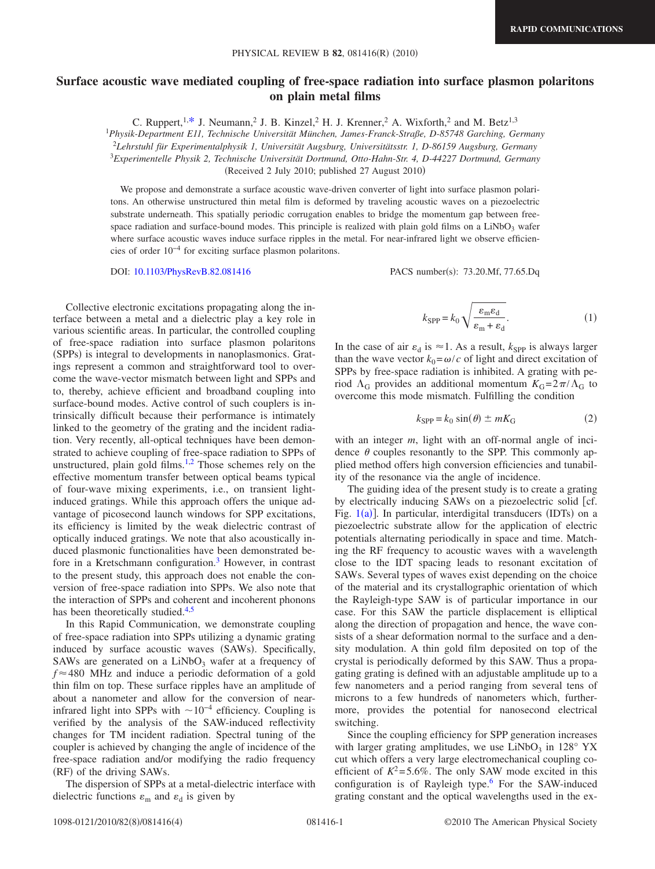## **Surface acoustic wave mediated coupling of free-space radiation into surface plasmon polaritons on plain metal films**

C. Ruppert,  $1, *$  J. Neumann, <sup>2</sup> J. B. Kinzel, <sup>2</sup> H. J. Krenner, <sup>2</sup> A. Wixforth, <sup>2</sup> and M. Betz<sup>1, 3</sup>

<sup>1</sup>*Physik-Department E11, Technische Universität München, James-Franck-Straße, D-85748 Garching, Germany* <sup>2</sup>*Lehrstuhl für Experimentalphysik 1, Universität Augsburg, Universitätsstr. 1, D-86159 Augsburg, Germany*

3 *Experimentelle Physik 2, Technische Universität Dortmund, Otto-Hahn-Str. 4, D-44227 Dortmund, Germany*

(Received 2 July 2010; published 27 August 2010)

We propose and demonstrate a surface acoustic wave-driven converter of light into surface plasmon polaritons. An otherwise unstructured thin metal film is deformed by traveling acoustic waves on a piezoelectric substrate underneath. This spatially periodic corrugation enables to bridge the momentum gap between freespace radiation and surface-bound modes. This principle is realized with plain gold films on a  $LiNbO<sub>3</sub>$  wafer where surface acoustic waves induce surface ripples in the metal. For near-infrared light we observe efficiencies of order 10−4 for exciting surface plasmon polaritons.

DOI: [10.1103/PhysRevB.82.081416](http://dx.doi.org/10.1103/PhysRevB.82.081416)

PACS number(s): 73.20.Mf, 77.65.Dq

Collective electronic excitations propagating along the interface between a metal and a dielectric play a key role in various scientific areas. In particular, the controlled coupling of free-space radiation into surface plasmon polaritons (SPPs) is integral to developments in nanoplasmonics. Gratings represent a common and straightforward tool to overcome the wave-vector mismatch between light and SPPs and to, thereby, achieve efficient and broadband coupling into surface-bound modes. Active control of such couplers is intrinsically difficult because their performance is intimately linked to the geometry of the grating and the incident radiation. Very recently, all-optical techniques have been demonstrated to achieve coupling of free-space radiation to SPPs of unstructured, plain gold films.<sup>1[,2](#page-3-2)</sup> Those schemes rely on the effective momentum transfer between optical beams typical of four-wave mixing experiments, i.e., on transient lightinduced gratings. While this approach offers the unique advantage of picosecond launch windows for SPP excitations, its efficiency is limited by the weak dielectric contrast of optically induced gratings. We note that also acoustically induced plasmonic functionalities have been demonstrated before in a Kretschmann configuration.<sup>3</sup> However, in contrast to the present study, this approach does not enable the conversion of free-space radiation into SPPs. We also note that the interaction of SPPs and coherent and incoherent phonons has been theoretically studied.<sup>4[,5](#page-3-5)</sup>

In this Rapid Communication, we demonstrate coupling of free-space radiation into SPPs utilizing a dynamic grating induced by surface acoustic waves (SAWs). Specifically, SAWs are generated on a  $LiNbO<sub>3</sub>$  wafer at a frequency of  $f \approx 480$  MHz and induce a periodic deformation of a gold thin film on top. These surface ripples have an amplitude of about a nanometer and allow for the conversion of nearinfrared light into SPPs with  $\sim 10^{-4}$  efficiency. Coupling is verified by the analysis of the SAW-induced reflectivity changes for TM incident radiation. Spectral tuning of the coupler is achieved by changing the angle of incidence of the free-space radiation and/or modifying the radio frequency (RF) of the driving SAWs.

The dispersion of SPPs at a metal-dielectric interface with dielectric functions  $\varepsilon_m$  and  $\varepsilon_d$  is given by

$$
k_{\rm SPP} = k_0 \sqrt{\frac{\varepsilon_{\rm m} \varepsilon_{\rm d}}{\varepsilon_{\rm m} + \varepsilon_{\rm d}}}.
$$
 (1)

<span id="page-0-1"></span>In the case of air  $\varepsilon_d$  is  $\approx$  1. As a result,  $k_{SPP}$  is always larger than the wave vector  $k_0 = \omega/c$  of light and direct excitation of SPPs by free-space radiation is inhibited. A grating with period  $\Lambda_G$  provides an additional momentum  $K_G = 2\pi/\Lambda_G$  to overcome this mode mismatch. Fulfilling the condition

$$
k_{\rm SPP} = k_0 \sin(\theta) \pm mK_{\rm G} \tag{2}
$$

<span id="page-0-0"></span>with an integer *m*, light with an off-normal angle of incidence  $\theta$  couples resonantly to the SPP. This commonly applied method offers high conversion efficiencies and tunability of the resonance via the angle of incidence.

The guiding idea of the present study is to create a grating by electrically inducing SAWs on a piezoelectric solid  $\lceil cf \rceil$ . Fig.  $1(a)$  $1(a)$ ]. In particular, interdigital transducers (IDTs) on a piezoelectric substrate allow for the application of electric potentials alternating periodically in space and time. Matching the RF frequency to acoustic waves with a wavelength close to the IDT spacing leads to resonant excitation of SAWs. Several types of waves exist depending on the choice of the material and its crystallographic orientation of which the Rayleigh-type SAW is of particular importance in our case. For this SAW the particle displacement is elliptical along the direction of propagation and hence, the wave consists of a shear deformation normal to the surface and a density modulation. A thin gold film deposited on top of the crystal is periodically deformed by this SAW. Thus a propagating grating is defined with an adjustable amplitude up to a few nanometers and a period ranging from several tens of microns to a few hundreds of nanometers which, furthermore, provides the potential for nanosecond electrical switching.

Since the coupling efficiency for SPP generation increases with larger grating amplitudes, we use  $LiNbO<sub>3</sub>$  in 128° YX cut which offers a very large electromechanical coupling coefficient of  $K^2 = 5.6\%$ . The only SAW mode excited in this configuration is of Rayleigh type.<sup>6</sup> For the SAW-induced grating constant and the optical wavelengths used in the ex-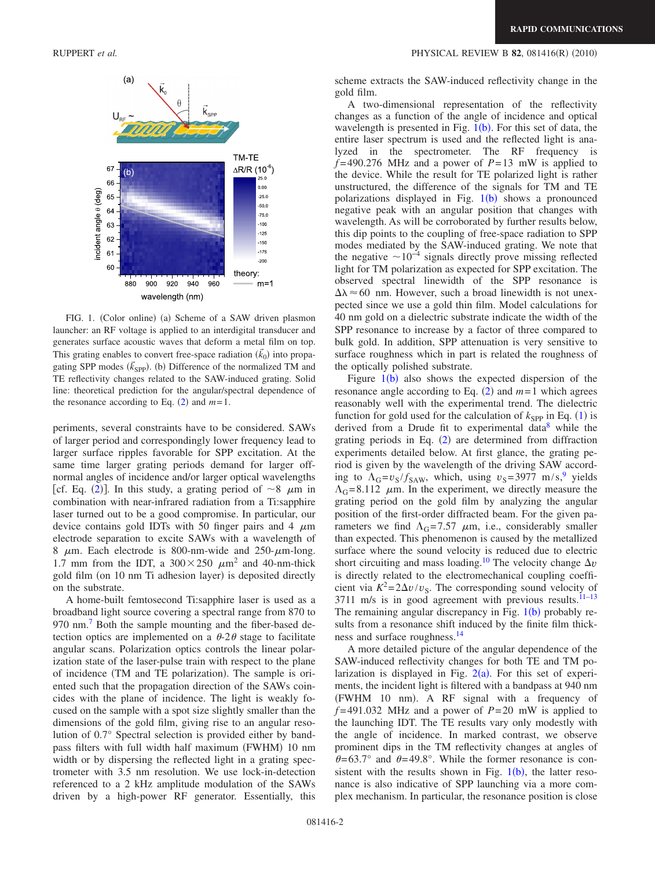

FIG. 1. (Color online) (a) Scheme of a SAW driven plasmon launcher: an RF voltage is applied to an interdigital transducer and generates surface acoustic waves that deform a metal film on top. This grating enables to convert free-space radiation  $(\vec{k}_0)$  into propagating SPP modes  $(\vec{k}_{\text{SPP}})$ . (b) Difference of the normalized TM and TE reflectivity changes related to the SAW-induced grating. Solid line: theoretical prediction for the angular/spectral dependence of the resonance according to Eq.  $(2)$  $(2)$  $(2)$  and  $m=1$ .

periments, several constraints have to be considered. SAWs of larger period and correspondingly lower frequency lead to larger surface ripples favorable for SPP excitation. At the same time larger grating periods demand for larger offnormal angles of incidence and/or larger optical wavelengths [cf. Eq. ([2](#page-0-0))]. In this study, a grating period of  $\sim 8$   $\mu$ m in combination with near-infrared radiation from a Ti:sapphire laser turned out to be a good compromise. In particular, our device contains gold IDTs with 50 finger pairs and 4  $\mu$ m electrode separation to excite SAWs with a wavelength of 8  $\mu$ m. Each electrode is 800-nm-wide and 250- $\mu$ m-long. 1.7 mm from the IDT, a  $300 \times 250$   $\mu$ m<sup>2</sup> and 40-nm-thick gold film (on 10 nm Ti adhesion layer) is deposited directly on the substrate.

A home-built femtosecond Ti:sapphire laser is used as a broadband light source covering a spectral range from 870 to 970 nm.<sup>7</sup> Both the sample mounting and the fiber-based detection optics are implemented on a  $\theta$ -2 $\theta$  stage to facilitate angular scans. Polarization optics controls the linear polarization state of the laser-pulse train with respect to the plane of incidence (TM and TE polarization). The sample is oriented such that the propagation direction of the SAWs coincides with the plane of incidence. The light is weakly focused on the sample with a spot size slightly smaller than the dimensions of the gold film, giving rise to an angular resolution of 0.7° Spectral selection is provided either by bandpass filters with full width half maximum (FWHM) 10 nm width or by dispersing the reflected light in a grating spectrometer with 3.5 nm resolution. We use lock-in-detection referenced to a 2 kHz amplitude modulation of the SAWs driven by a high-power RF generator. Essentially, this

## <span id="page-1-0"></span>RUPPERT *et al.* 2010) **PHYSICAL REVIEW B 82**, 081416(R) (2010)

scheme extracts the SAW-induced reflectivity change in the gold film.

A two-dimensional representation of the reflectivity changes as a function of the angle of incidence and optical wavelength is presented in Fig.  $1(b)$  $1(b)$ . For this set of data, the entire laser spectrum is used and the reflected light is analyzed in the spectrometer. The RF frequency is  $f = 490.276$  MHz and a power of  $P = 13$  mW is applied to the device. While the result for TE polarized light is rather unstructured, the difference of the signals for TM and TE polarizations displayed in Fig.  $1(b)$  $1(b)$  shows a pronounced negative peak with an angular position that changes with wavelength. As will be corroborated by further results below, this dip points to the coupling of free-space radiation to SPP modes mediated by the SAW-induced grating. We note that the negative  $\sim 10^{-4}$  signals directly prove missing reflected light for TM polarization as expected for SPP excitation. The observed spectral linewidth of the SPP resonance is  $\Delta\lambda \approx 60$  nm. However, such a broad linewidth is not unexpected since we use a gold thin film. Model calculations for 40 nm gold on a dielectric substrate indicate the width of the SPP resonance to increase by a factor of three compared to bulk gold. In addition, SPP attenuation is very sensitive to surface roughness which in part is related the roughness of the optically polished substrate.

Figure  $1(b)$  $1(b)$  also shows the expected dispersion of the resonance angle according to Eq.  $(2)$  $(2)$  $(2)$  and  $m=1$  which agrees reasonably well with the experimental trend. The dielectric function for gold used for the calculation of  $k_{\text{SPP}}$  in Eq. ([1](#page-0-1)) is derived from a Drude fit to experimental data $8$  while the grating periods in Eq.  $(2)$  $(2)$  $(2)$  are determined from diffraction experiments detailed below. At first glance, the grating period is given by the wavelength of the driving SAW according to  $\Lambda$ <sub>G</sub>= $v_s/f_{SAW}$ , which, using  $v_s$ =3977 m/s,<sup>9</sup> yields  $\Lambda$ <sub>G</sub>=8.112  $\mu$ m. In the experiment, we directly measure the grating period on the gold film by analyzing the angular position of the first-order diffracted beam. For the given parameters we find  $\Lambda$ <sub>G</sub>=7.57  $\mu$ m, i.e., considerably smaller than expected. This phenomenon is caused by the metallized surface where the sound velocity is reduced due to electric short circuiting and mass loading.<sup>10</sup> The velocity change  $\Delta v$ is directly related to the electromechanical coupling coefficient via  $K^2 = 2\Delta v/v_s$ . The corresponding sound velocity of 3711 m/s is in good agreement with previous results. $11-13$ The remaining angular discrepancy in Fig.  $1(b)$  $1(b)$  probably results from a resonance shift induced by the finite film thickness and surface roughness.<sup>14</sup>

A more detailed picture of the angular dependence of the SAW-induced reflectivity changes for both TE and TM polarization is displayed in Fig.  $2(a)$  $2(a)$ . For this set of experiments, the incident light is filtered with a bandpass at 940 nm (FWHM 10 nm). A RF signal with a frequency of  $f = 491.032$  MHz and a power of  $P = 20$  mW is applied to the launching IDT. The TE results vary only modestly with the angle of incidence. In marked contrast, we observe prominent dips in the TM reflectivity changes at angles of  $\theta$ =63.7° and  $\theta$ =49.8°. While the former resonance is consistent with the results shown in Fig.  $1(b)$  $1(b)$ , the latter resonance is also indicative of SPP launching via a more complex mechanism. In particular, the resonance position is close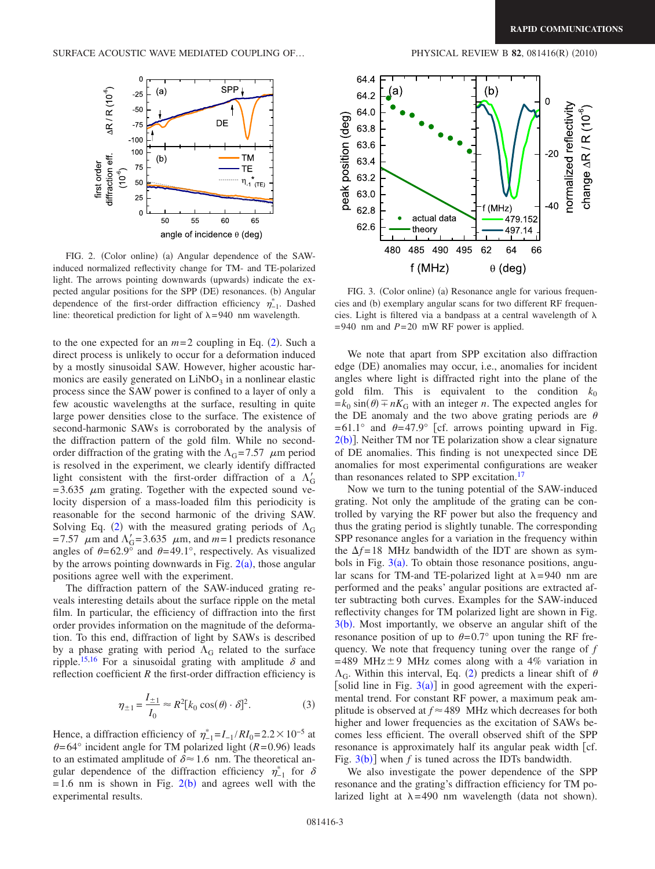<span id="page-2-0"></span>

FIG. 2. (Color online) (a) Angular dependence of the SAWinduced normalized reflectivity change for TM- and TE-polarized light. The arrows pointing downwards (upwards) indicate the expected angular positions for the SPP (DE) resonances. (b) Angular dependence of the first-order diffraction efficiency  $\eta^*_{-1}$ . Dashed line: theoretical prediction for light of  $\lambda = 940$  nm wavelength.

to the one expected for an  $m=2$  $m=2$  coupling in Eq. (2). Such a direct process is unlikely to occur for a deformation induced by a mostly sinusoidal SAW. However, higher acoustic harmonics are easily generated on  $LiNbO<sub>3</sub>$  in a nonlinear elastic process since the SAW power is confined to a layer of only a few acoustic wavelengths at the surface, resulting in quite large power densities close to the surface. The existence of second-harmonic SAWs is corroborated by the analysis of the diffraction pattern of the gold film. While no secondorder diffraction of the grating with the  $\Lambda$ <sub>G</sub> = 7.57  $\mu$ m period is resolved in the experiment, we clearly identify diffracted light consistent with the first-order diffraction of a  $\Lambda'_G$  $= 3.635$   $\mu$ m grating. Together with the expected sound velocity dispersion of a mass-loaded film this periodicity is reasonable for the second harmonic of the driving SAW. Solving Eq. ([2](#page-0-0)) with the measured grating periods of  $\Lambda$ <sub>G</sub> = 7.57  $\mu$ m and  $\Lambda'_G$  = 3.635  $\mu$ m, and *m* = 1 predicts resonance angles of  $\theta = 62.9^{\circ}$  and  $\theta = 49.1^{\circ}$ , respectively. As visualized by the arrows pointing downwards in Fig.  $2(a)$  $2(a)$ , those angular positions agree well with the experiment.

The diffraction pattern of the SAW-induced grating reveals interesting details about the surface ripple on the metal film. In particular, the efficiency of diffraction into the first order provides information on the magnitude of the deformation. To this end, diffraction of light by SAWs is described by a phase grating with period  $\Lambda$ <sub>G</sub> related to the surface ripple.<sup>15[,16](#page-3-15)</sup> For a sinusoidal grating with amplitude  $\delta$  and reflection coefficient  $R$  the first-order diffraction efficiency is

$$
\eta_{\pm 1} = \frac{I_{\pm 1}}{I_0} \approx R^2 [k_0 \cos(\theta) \cdot \delta]^2. \tag{3}
$$

<span id="page-2-2"></span>Hence, a diffraction efficiency of  $\eta_{-1}^* = I_{-1}/RI_0 = 2.2 \times 10^{-5}$  at  $\theta$ =64° incident angle for TM polarized light *(R*=0.96) leads to an estimated amplitude of  $\delta \approx 1.6$  nm. The theoretical angular dependence of the diffraction efficiency  $\eta_{-1}^*$  for  $\delta$  $= 1.6$  nm is shown in Fig. [2](#page-2-0)(b) and agrees well with the experimental results.

 $(2010)$ 

<span id="page-2-1"></span>

FIG. 3. (Color online) (a) Resonance angle for various frequencies and (b) exemplary angular scans for two different RF frequencies. Light is filtered via a bandpass at a central wavelength of  $\lambda$  $= 940$  nm and  $P = 20$  mW RF power is applied.

We note that apart from SPP excitation also diffraction edge (DE) anomalies may occur, i.e., anomalies for incident angles where light is diffracted right into the plane of the gold film. This is equivalent to the condition  $k_0$  $=k_0 \sin(\theta) \pm nK_G$  with an integer *n*. The expected angles for the DE anomaly and the two above grating periods are  $\theta$  $= 61.1^{\circ}$  and  $\theta = 47.9^{\circ}$  [cf. arrows pointing upward in Fig.  $2(b)$  $2(b)$ ]. Neither TM nor TE polarization show a clear signature of DE anomalies. This finding is not unexpected since DE anomalies for most experimental configurations are weaker than resonances related to SPP excitation.<sup>17</sup>

Now we turn to the tuning potential of the SAW-induced grating. Not only the amplitude of the grating can be controlled by varying the RF power but also the frequency and thus the grating period is slightly tunable. The corresponding SPP resonance angles for a variation in the frequency within the  $\Delta f$ =18 MHz bandwidth of the IDT are shown as symbols in Fig.  $3(a)$  $3(a)$ . To obtain those resonance positions, angular scans for TM-and TE-polarized light at  $\lambda = 940$  nm are performed and the peaks' angular positions are extracted after subtracting both curves. Examples for the SAW-induced reflectivity changes for TM polarized light are shown in Fig.  $3(b)$  $3(b)$ . Most importantly, we observe an angular shift of the resonance position of up to  $\theta = 0.7^{\circ}$  upon tuning the RF frequency. We note that frequency tuning over the range of *f*  $= 489$  MHz $\pm 9$  MHz comes along with a 4% variation in  $\Lambda$ <sub>G</sub>. Within this interval, Eq. ([2](#page-0-0)) predicts a linear shift of  $\theta$ [solid line in Fig.  $3(a)$  $3(a)$ ] in good agreement with the experimental trend. For constant RF power, a maximum peak amplitude is observed at  $f \approx 489$  MHz which decreases for both higher and lower frequencies as the excitation of SAWs becomes less efficient. The overall observed shift of the SPP resonance is approximately half its angular peak width  $\lceil cf \rceil$ . Fig.  $3(b)$  $3(b)$ ] when *f* is tuned across the IDTs bandwidth.

We also investigate the power dependence of the SPP resonance and the grating's diffraction efficiency for TM polarized light at  $\lambda = 490$  nm wavelength (data not shown).